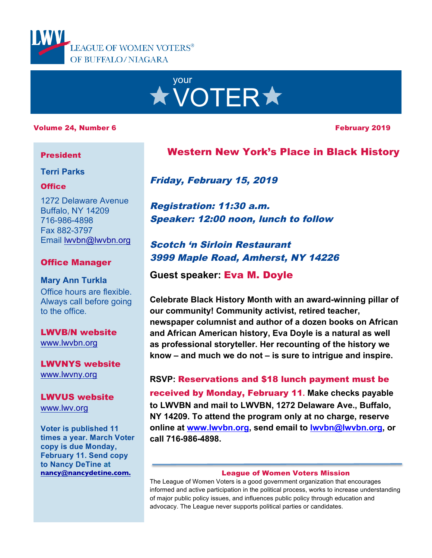



### Volume 24, Number 6 February 2019

### President

### **Terri Parks**

### **Office**

1272 Delaware Avenue Buffalo, NY 14209 716-986-4898 Fax 882-3797 Email lwvbn@lwvbn.org

### Office Manager

**Mary Ann Turkla** Office hours are flexible. Always call before going to the office.

LWVB/N website www.lwvbn.org

LWVNYS website www.lwvny.org

LWVUS website www.lwv.org

**Voter is published 11 times a year. March Voter copy is due Monday, February 11. Send copy to Nancy DeTine at nancy@nancydetine.com.**

# Western New York's Place in Black History

Friday, February 15, 2019

Registration: 11:30 a.m. Speaker: 12:00 noon, lunch to follow

# Scotch 'n Sirloin Restaurant 3999 Maple Road, Amherst, NY 14226

**Guest speaker:** Eva M. Doyle

**Celebrate Black History Month with an award-winning pillar of our community! Community activist, retired teacher, newspaper columnist and author of a dozen books on African and African American history, Eva Doyle is a natural as well as professional storyteller. Her recounting of the history we know – and much we do not – is sure to intrigue and inspire.** 

**RSVP:** Reservations and \$18 lunch payment must be received by Monday, February 11**. Make checks payable to LWVBN and mail to LWVBN, 1272 Delaware Ave., Buffalo, NY 14209. To attend the program only at no charge, reserve online at www.lwvbn.org, send email to lwvbn@lwvbn.org, or call 716-986-4898.**

### League of Women Voters Mission

The League of Women Voters is a good government organization that encourages informed and active participation in the political process, works to increase understanding of major public policy issues, and influences public policy through education and advocacy. The League never supports political parties or candidates.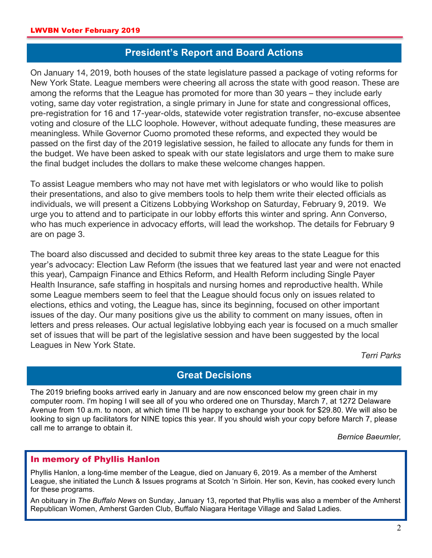# **President's Report and Board Actions**

On January 14, 2019, both houses of the state legislature passed a package of voting reforms for New York State. League members were cheering all across the state with good reason. These are among the reforms that the League has promoted for more than 30 years – they include early voting, same day voter registration, a single primary in June for state and congressional offices, pre-registration for 16 and 17-year-olds, statewide voter registration transfer, no-excuse absentee voting and closure of the LLC loophole. However, without adequate funding, these measures are meaningless. While Governor Cuomo promoted these reforms, and expected they would be passed on the first day of the 2019 legislative session, he failed to allocate any funds for them in the budget. We have been asked to speak with our state legislators and urge them to make sure the final budget includes the dollars to make these welcome changes happen.

To assist League members who may not have met with legislators or who would like to polish their presentations, and also to give members tools to help them write their elected officials as individuals, we will present a Citizens Lobbying Workshop on Saturday, February 9, 2019. We urge you to attend and to participate in our lobby efforts this winter and spring. Ann Converso, who has much experience in advocacy efforts, will lead the workshop. The details for February 9 are on page 3.

The board also discussed and decided to submit three key areas to the state League for this year's advocacy: Election Law Reform (the issues that we featured last year and were not enacted this year), Campaign Finance and Ethics Reform, and Health Reform including Single Payer Health Insurance, safe staffing in hospitals and nursing homes and reproductive health. While some League members seem to feel that the League should focus only on issues related to elections, ethics and voting, the League has, since its beginning, focused on other important issues of the day. Our many positions give us the ability to comment on many issues, often in letters and press releases. Our actual legislative lobbying each year is focused on a much smaller set of issues that will be part of the legislative session and have been suggested by the local Leagues in New York State.

*Terri Parks*

## **Great Decisions**

The 2019 briefing books arrived early in January and are now ensconced below my green chair in my computer room. I'm hoping I will see all of you who ordered one on Thursday, March 7, at 1272 Delaware Avenue from 10 a.m. to noon, at which time I'll be happy to exchange your book for \$29.80. We will also be looking to sign up facilitators for NINE topics this year. If you should wish your copy before March 7, please call me to arrange to obtain it.

*Bernice Baeumler,* 

### In memory of Phyllis Hanlon

Phyllis Hanlon, a long-time member of the League, died on January 6, 2019. As a member of the Amherst League, she initiated the Lunch & Issues programs at Scotch 'n Sirloin. Her son, Kevin, has cooked every lunch for these programs.

An obituary in *The Buffalo News* on Sunday, January 13, reported that Phyllis was also a member of the Amherst Republican Women, Amherst Garden Club, Buffalo Niagara Heritage Village and Salad Ladies.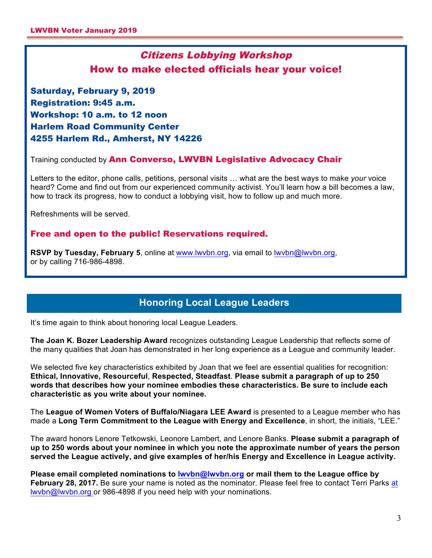# Citizens Lobbying Workshop How to make elected officials hear your voice!

Saturday, February 9, 2019 Registration: 9:45 a.m. Workshop: 10 a.m. to 12 noon Harlem Road Community Center 4255 Harlem Rd., Amherst, NY 14226

Training conducted by Ann Converso, LWVBN Legislative Advocacy Chair

Letters to the editor, phone calls, petitions, personal visits … what are the best ways to make *your* voice heard? Come and find out from our experienced community activist. You'll learn how a bill becomes a law, how to track its progress, how to conduct a lobbying visit, how to follow up and much more.

Refreshments will be served.

### Free and open to the public! Reservations required.

**RSVP by Tuesday, February 5**, online at www.lwvbn.org, via email to lwvbn@lwvbn.org, or by calling 716-986-4898.

# **Honoring Local League Leaders**

It's time again to think about honoring local League Leaders.

**The Joan K. Bozer Leadership Award** recognizes outstanding League Leadership that reflects some of the many qualities that Joan has demonstrated in her long experience as a League and community leader.

We selected five key characteristics exhibited by Joan that we feel are essential qualities for recognition: **Ethical, Innovative, Resourceful**, **Respected, Steadfast**. **Please submit a paragraph of up to 250 words that describes how your nominee embodies these characteristics. Be sure to include each characteristic as you write about your nominee.**

The **League of Women Voters of Buffalo/Niagara LEE Award** is presented to a League member who has made a **Long Term Commitment to the League with Energy and Excellence**, in short, the initials, "LEE."

The award honors Lenore Tetkowski, Leonore Lambert, and Lenore Banks. **Please submit a paragraph of up to 250 words about your nominee in which you note the approximate number of years the person served the League actively, and give examples of her/his Energy and Excellence in League activity.**

**Please email completed nominations to lwvbn@lwvbn.org or mail them to the League office by February 28, 2017.** Be sure your name is noted as the nominator. Please feel free to contact Terri Parks at lwvbn@lwvbn.org or 986-4898 if you need help with your nominations.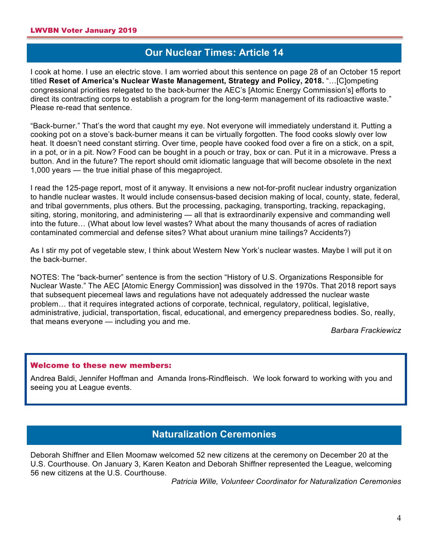# **Our Nuclear Times: Article 14**

I cook at home. I use an electric stove. I am worried about this sentence on page 28 of an October 15 report titled **Reset of America's Nuclear Waste Management, Strategy and Policy, 2018.** "…[C]ompeting congressional priorities relegated to the back-burner the AEC's [Atomic Energy Commission's] efforts to direct its contracting corps to establish a program for the long-term management of its radioactive waste." Please re-read that sentence.

"Back-burner." That's the word that caught my eye. Not everyone will immediately understand it. Putting a cooking pot on a stove's back-burner means it can be virtually forgotten. The food cooks slowly over low heat. It doesn't need constant stirring. Over time, people have cooked food over a fire on a stick, on a spit, in a pot, or in a pit. Now? Food can be bought in a pouch or tray, box or can. Put it in a microwave. Press a button. And in the future? The report should omit idiomatic language that will become obsolete in the next 1,000 years — the true initial phase of this megaproject.

I read the 125-page report, most of it anyway. It envisions a new not-for-profit nuclear industry organization to handle nuclear wastes. It would include consensus-based decision making of local, county, state, federal, and tribal governments, plus others. But the processing, packaging, transporting, tracking, repackaging, siting, storing, monitoring, and administering - all that is extraordinarily expensive and commanding well into the future… (What about low level wastes? What about the many thousands of acres of radiation contaminated commercial and defense sites? What about uranium mine tailings? Accidents?)

As I stir my pot of vegetable stew, I think about Western New York's nuclear wastes. Maybe I will put it on the back-burner.

NOTES: The "back-burner" sentence is from the section "History of U.S. Organizations Responsible for Nuclear Waste." The AEC [Atomic Energy Commission] was dissolved in the 1970s. That 2018 report says that subsequent piecemeal laws and regulations have not adequately addressed the nuclear waste problem… that it requires integrated actions of corporate, technical, regulatory, political, legislative, administrative, judicial, transportation, fiscal, educational, and emergency preparedness bodies. So, really, that means everyone — including you and me.

*Barbara Frackiewicz*

### Welcome to these new members:

Andrea Baldi, Jennifer Hoffman and Amanda Irons-Rindfleisch. We look forward to working with you and seeing you at League events.

### **Naturalization Ceremonies**

Deborah Shiffner and Ellen Moomaw welcomed 52 new citizens at the ceremony on December 20 at the U.S. Courthouse. On January 3, Karen Keaton and Deborah Shiffner represented the League, welcoming 56 new citizens at the U.S. Courthouse.

*Patricia Wille, Volunteer Coordinator for Naturalization Ceremonies*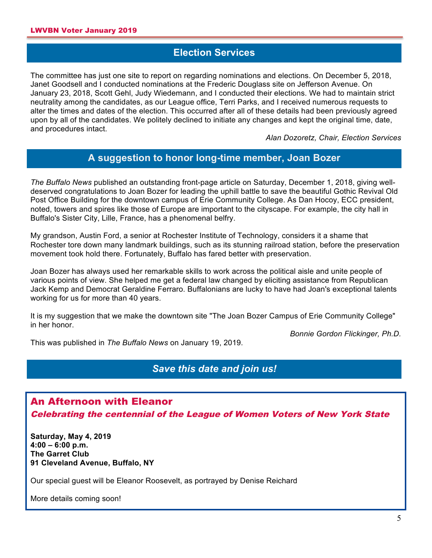# **Election Services**

The committee has just one site to report on regarding nominations and elections. On December 5, 2018, Janet Goodsell and I conducted nominations at the Frederic Douglass site on Jefferson Avenue. On January 23, 2018, Scott Gehl, Judy Wiedemann, and I conducted their elections. We had to maintain strict neutrality among the candidates, as our League office, Terri Parks, and I received numerous requests to alter the times and dates of the election. This occurred after all of these details had been previously agreed upon by all of the candidates. We politely declined to initiate any changes and kept the original time, date, and procedures intact.

*Alan Dozoretz, Chair, Election Services*

# **A suggestion to honor long-time member, Joan Bozer**

*The Buffalo News* published an outstanding front-page article on Saturday, December 1, 2018, giving welldeserved congratulations to Joan Bozer for leading the uphill battle to save the beautiful Gothic Revival Old Post Office Building for the downtown campus of Erie Community College. As Dan Hocoy, ECC president, noted, towers and spires like those of Europe are important to the cityscape. For example, the city hall in Buffalo's Sister City, Lille, France, has a phenomenal belfry.

My grandson, Austin Ford, a senior at Rochester Institute of Technology, considers it a shame that Rochester tore down many landmark buildings, such as its stunning railroad station, before the preservation movement took hold there. Fortunately, Buffalo has fared better with preservation.

Joan Bozer has always used her remarkable skills to work across the political aisle and unite people of various points of view. She helped me get a federal law changed by eliciting assistance from Republican Jack Kemp and Democrat Geraldine Ferraro. Buffalonians are lucky to have had Joan's exceptional talents working for us for more than 40 years.

It is my suggestion that we make the downtown site "The Joan Bozer Campus of Erie Community College" in her honor.

*Bonnie Gordon Flickinger, Ph.D.*

This was published in *The Buffalo News* on January 19, 2019.

# *Save this date and join us!*

# An Afternoon with Eleanor Celebrating the centennial of the League of Women Voters of New York State

**Saturday, May 4, 2019 4:00 – 6:00 p.m. The Garret Club 91 Cleveland Avenue, Buffalo, NY**

Our special guest will be Eleanor Roosevelt, as portrayed by Denise Reichard

More details coming soon!